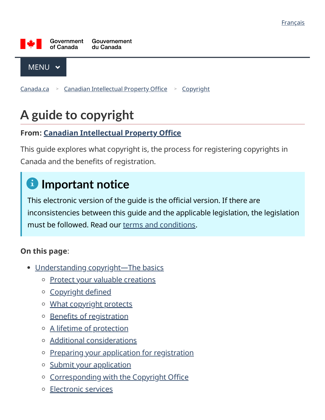

 $MENU \sim$ 

<u>[Canada.ca](https://www.canada.ca/en.html) > Canadian [Intellectual](https://www.ic.gc.ca/eic/site/cipointernet-internetopic.nsf/eng/home) Property Office > [Copyright](https://www.ic.gc.ca/eic/site/cipointernet-internetopic.nsf/eng/h_wr00003.html)</u>

# **A guide to copyright**

#### **From: Canadian [Intellectual](https://www.ic.gc.ca/eic/site/cipointernet-internetopic.nsf/eng/home) Property Office**

This guide explores what copyright is, the process for registering copyrights in Canada and the benefits of registration.

# **Important notice**

This electronic version of the guide is the official version. If there are inconsistencies between this guide and the applicable legislation, the legislation must be followed. Read our terms and [conditions.](https://www.ic.gc.ca/eic/site/cipointernet-internetopic.nsf/eng/wr00009.html)

#### **On this page**:

- Understanding [copyright—The](#page-1-0) basics
	- o Protect your valuable [creations](#page-1-1)
	- o [Copyright](#page-1-2) defined
	- o What [copyright](#page-2-0) protects
	- o Benefits of [registration](#page-4-0)
	- o A lifetime of [protection](#page-5-0)
	- o Additional [considerations](#page-6-0)
	- o Preparing your application for [registration](#page-7-0)
	- o Submit your [application](#page-11-0)
	- o [Corresponding](#page-12-0) with the Copyright Office
	- [Electronic](#page-12-1) services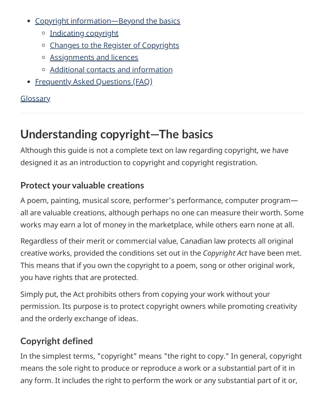- Copyright [information—Beyond](#page-13-0) the basics
	- o [Indicating](#page-13-1) copyright
	- o Changes to the Register of [Copyrights](#page-13-2)
	- [Assignments](#page-14-0) and licences
	- Additional contacts and [information](#page-14-1)
- [Frequently](#page-16-0) Asked Questions (FAQ)

## **[Glossary](https://www.ic.gc.ca/eic/site/cipointernet-internetopic.nsf/eng/wr00837.html)**

# <span id="page-1-0"></span>**Understanding copyright—The basics**

Although this guide is not a complete text on law regarding copyright, we have designed it as an introduction to copyright and copyright registration.

# <span id="page-1-1"></span>**Protect your valuable creations**

A poem, painting, musical score, performer's performance, computer program all are valuable creations, although perhaps no one can measure their worth. Some works may earn a lot of money in the marketplace, while others earn none at all.

Regardless of their merit or commercial value, Canadian law protects all original creative works, provided the conditions set out in the *Copyright Act* have been met. This means that if you own the copyright to a poem, song or other original work, you have rights that are protected.

Simply put, the Act prohibits others from copying your work without your permission. Its purpose is to protect copyright owners while promoting creativity and the orderly exchange of ideas.

# <span id="page-1-2"></span>**Copyright defined**

In the simplest terms, "copyright" means "the right to copy." In general, copyright means the sole right to produce or reproduce a work or a substantial part of it in any form. It includes the right to perform the work or any substantial part of it or,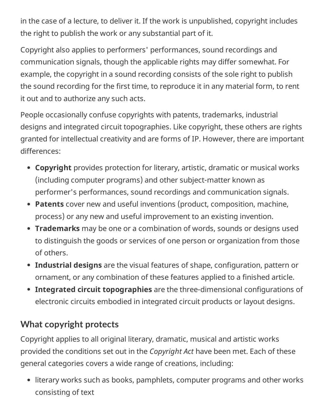in the case of a lecture, to deliver it. If the work is unpublished, copyright includes the right to publish the work or any substantial part of it.

Copyright also applies to performers' performances, sound recordings and communication signals, though the applicable rights may differ somewhat. For example, the copyright in a sound recording consists of the sole right to publish the sound recording for the first time, to reproduce it in any material form, to rent it out and to authorize any such acts.

People occasionally confuse copyrights with patents, trademarks, industrial designs and integrated circuit topographies. Like copyright, these others are rights granted for intellectual creativity and are forms of IP. However, there are important differences:

- **Copyright** provides protection for literary, artistic, dramatic or musical works (including computer programs) and other subject-matter known as performer's performances, sound recordings and communication signals.
- **Patents** cover new and useful inventions (product, composition, machine, process) or any new and useful improvement to an existing invention.
- **Trademarks** may be one or a combination of words, sounds or designs used to distinguish the goods or services of one person or organization from those of others.
- **Industrial designs** are the visual features of shape, configuration, pattern or ornament, or any combination of these features applied to a finished article.
- **Integrated circuit topographies** are the three-dimensional configurations of electronic circuits embodied in integrated circuit products or layout designs.

# <span id="page-2-0"></span>**What copyright protects**

Copyright applies to all original literary, dramatic, musical and artistic works provided the conditions set out in the *Copyright Act* have been met. Each of these general categories covers a wide range of creations, including:

literary works such as books, pamphlets, computer programs and other works consisting of text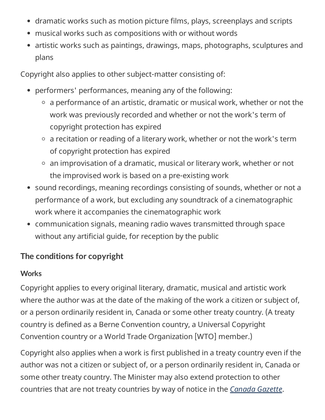- dramatic works such as motion picture films, plays, screenplays and scripts
- musical works such as compositions with or without words
- artistic works such as paintings, drawings, maps, photographs, sculptures and plans

Copyright also applies to other subject-matter consisting of:

- performers' performances, meaning any of the following:
	- $\circ$  a performance of an artistic, dramatic or musical work, whether or not the work was previously recorded and whether or not the work's term of copyright protection has expired
	- $\circ$  a recitation or reading of a literary work, whether or not the work's term of copyright protection has expired
	- $\circ$  an improvisation of a dramatic, musical or literary work, whether or not the improvised work is based on a pre-existing work
- sound recordings, meaning recordings consisting of sounds, whether or not a performance of a work, but excluding any soundtrack of a cinematographic work where it accompanies the cinematographic work
- communication signals, meaning radio waves transmitted through space without any artificial guide, for reception by the public

## **The conditions for copyright**

#### **Works**

Copyright applies to every original literary, dramatic, musical and artistic work where the author was at the date of the making of the work a citizen or subject of, or a person ordinarily resident in, Canada or some other treaty country. (A treaty country is defined as a Berne Convention country, a Universal Copyright Convention country or a World Trade Organization [WTO] member.)

Copyright also applies when a work is first published in a treaty country even if the author was not a citizen or subject of, or a person ordinarily resident in, Canada or some other treaty country. The Minister may also extend protection to other countries that are not treaty countries by way of notice in the *[Canada](http://www.gazette.gc.ca/gazette/home-accueil-eng.php) Gazette*.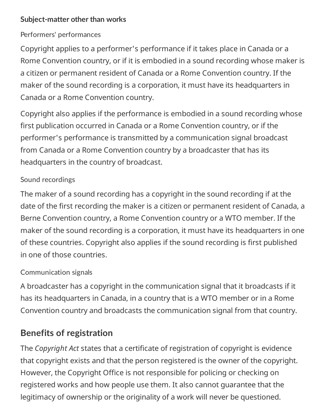#### **Subject-matter other than works**

#### Performers' performances

Copyright applies to a performer's performance if it takes place in Canada or a Rome Convention country, or if it is embodied in a sound recording whose maker is a citizen or permanent resident of Canada or a Rome Convention country. If the maker of the sound recording is a corporation, it must have its headquarters in Canada or a Rome Convention country.

Copyright also applies if the performance is embodied in a sound recording whose first publication occurred in Canada or a Rome Convention country, or if the performer's performance is transmitted by a communication signal broadcast from Canada or a Rome Convention country by a broadcaster that has its headquarters in the country of broadcast.

#### Sound recordings

The maker of a sound recording has a copyright in the sound recording if at the date of the first recording the maker is a citizen or permanent resident of Canada, a Berne Convention country, a Rome Convention country or a WTO member. If the maker of the sound recording is a corporation, it must have its headquarters in one of these countries. Copyright also applies if the sound recording is first published in one of those countries.

#### Communication signals

A broadcaster has a copyright in the communication signal that it broadcasts if it has its headquarters in Canada, in a country that is a WTO member or in a Rome Convention country and broadcasts the communication signal from that country.

## <span id="page-4-0"></span>**Benefits of registration**

The *Copyright Act* states that a certificate of registration of copyright is evidence that copyright exists and that the person registered is the owner of the copyright. However, the Copyright Office is not responsible for policing or checking on registered works and how people use them. It also cannot guarantee that the legitimacy of ownership or the originality of a work will never be questioned.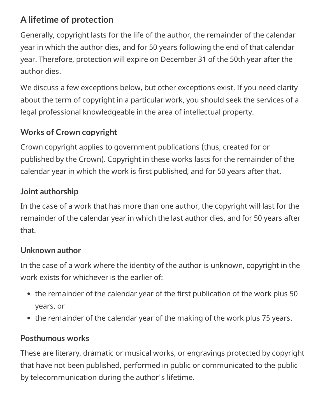## <span id="page-5-0"></span>**A lifetime of protection**

Generally, copyright lasts for the life of the author, the remainder of the calendar year in which the author dies, and for 50 years following the end of that calendar year. Therefore, protection will expire on December 31 of the 50th year after the author dies.

We discuss a few exceptions below, but other exceptions exist. If you need clarity about the term of copyright in a particular work, you should seek the services of a legal professional knowledgeable in the area of intellectual property.

# **Works of Crown copyright**

Crown copyright applies to government publications (thus, created for or published by the Crown). Copyright in these works lasts for the remainder of the calendar year in which the work is first published, and for 50 years after that.

## **Joint authorship**

In the case of a work that has more than one author, the copyright will last for the remainder of the calendar year in which the last author dies, and for 50 years after that.

## **Unknown author**

In the case of a work where the identity of the author is unknown, copyright in the work exists for whichever is the earlier of:

- the remainder of the calendar year of the first publication of the work plus 50 years, or
- the remainder of the calendar year of the making of the work plus 75 years.

## **Posthumous works**

These are literary, dramatic or musical works, or engravings protected by copyright that have not been published, performed in public or communicated to the public by telecommunication during the author's lifetime.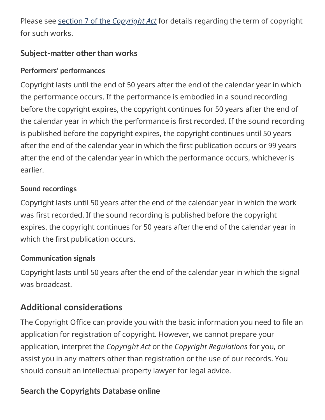Please see section 7 of the *[Copyright](http://laws-lois.justice.gc.ca/eng/acts/C-42/page-3.html#s-7) Act* for details regarding the term of copyright for such works.

### **Subject-matter other than works**

#### **Performers' performances**

Copyright lasts until the end of 50 years after the end of the calendar year in which the performance occurs. If the performance is embodied in a sound recording before the copyright expires, the copyright continues for 50 years after the end of the calendar year in which the performance is first recorded. If the sound recording is published before the copyright expires, the copyright continues until 50 years after the end of the calendar year in which the first publication occurs or 99 years after the end of the calendar year in which the performance occurs, whichever is earlier.

#### **Sound recordings**

Copyright lasts until 50 years after the end of the calendar year in which the work was first recorded. If the sound recording is published before the copyright expires, the copyright continues for 50 years after the end of the calendar year in which the first publication occurs.

#### **Communication signals**

Copyright lasts until 50 years after the end of the calendar year in which the signal was broadcast.

# <span id="page-6-0"></span>**Additional considerations**

The Copyright Office can provide you with the basic information you need to file an application for registration of copyright. However, we cannot prepare your application, interpret the *Copyright Act* or the *Copyright Regulations* for you, or assist you in any matters other than registration or the use of our records. You should consult an intellectual property lawyer for legal advice.

## **Search the Copyrights Database online**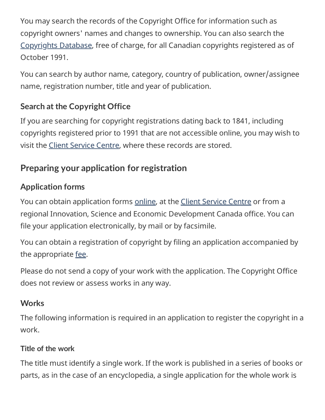You may search the records of the Copyright Office for information such as copyright owners' names and changes to ownership. You can also search the [Copyrights](http://www.ic.gc.ca/app/opic-cipo/cpyrghts/dsplySrch.do?lang=eng) Database, free of charge, for all Canadian copyrights registered as of October 1991.

You can search by author name, category, country of publication, owner/assignee name, registration number, title and year of publication.

## **Search at the Copyright Office**

If you are searching for copyright registrations dating back to 1841, including copyrights registered prior to 1991 that are not accessible online, you may wish to visit the Client [Service](https://www.ic.gc.ca/eic/site/cipointernet-internetopic.nsf/eng/wr00006.html) Centre, where these records are stored.

## <span id="page-7-0"></span>**Preparing your application for registration**

#### **Application forms**

You can obtain application forms [online,](https://www.ic.gc.ca/eic/site/cipointernet-internetopic.nsf/eng/h_wr00021.html) at the Client [Service](https://www.ic.gc.ca/eic/site/cipointernet-internetopic.nsf/eng/wr00006.html) Centre or from a regional Innovation, Science and Economic Development Canada office. You can file your application electronically, by mail or by facsimile.

You can obtain a registration of copyright by filing an application accompanied by the appropriate [fee](https://www.ic.gc.ca/eic/site/cipointernet-internetopic.nsf/eng/wr00091.html).

Please do not send a copy of your work with the application. The Copyright Office does not review or assess works in any way.

#### **Works**

The following information is required in an application to register the copyright in a work.

#### **Title of the work**

The title must identify a single work. If the work is published in a series of books or parts, as in the case of an encyclopedia, a single application for the whole work is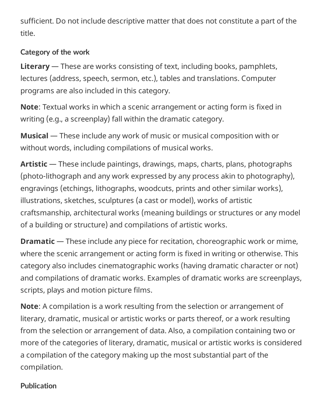sufficient. Do not include descriptive matter that does not constitute a part of the title.

#### **Category of the work**

**Literary** — These are works consisting of text, including books, pamphlets, lectures (address, speech, sermon, etc.), tables and translations. Computer programs are also included in this category.

**Note**: Textual works in which a scenic arrangement or acting form is fixed in writing (e.g., a screenplay) fall within the dramatic category.

**Musical** — These include any work of music or musical composition with or without words, including compilations of musical works.

**Artistic** — These include paintings, drawings, maps, charts, plans, photographs (photo-lithograph and any work expressed by any process akin to photography), engravings (etchings, lithographs, woodcuts, prints and other similar works), illustrations, sketches, sculptures (a cast or model), works of artistic craftsmanship, architectural works (meaning buildings or structures or any model of a building or structure) and compilations of artistic works.

**Dramatic** — These include any piece for recitation, choreographic work or mime, where the scenic arrangement or acting form is fixed in writing or otherwise. This category also includes cinematographic works (having dramatic character or not) and compilations of dramatic works. Examples of dramatic works are screenplays, scripts, plays and motion picture films.

**Note**: A compilation is a work resulting from the selection or arrangement of literary, dramatic, musical or artistic works or parts thereof, or a work resulting from the selection or arrangement of data. Also, a compilation containing two or more of the categories of literary, dramatic, musical or artistic works is considered a compilation of the category making up the most substantial part of the compilation.

#### **Publication**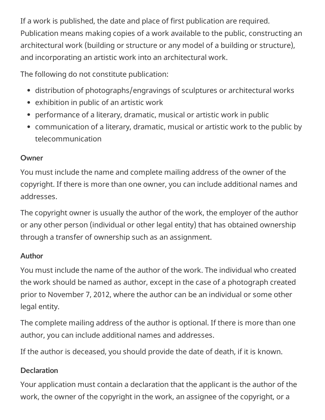If a work is published, the date and place of first publication are required. Publication means making copies of a work available to the public, constructing an architectural work (building or structure or any model of a building or structure), and incorporating an artistic work into an architectural work.

The following do not constitute publication:

- distribution of photographs/engravings of sculptures or architectural works
- exhibition in public of an artistic work
- performance of a literary, dramatic, musical or artistic work in public
- communication of a literary, dramatic, musical or artistic work to the public by telecommunication

#### **Owner**

You must include the name and complete mailing address of the owner of the copyright. If there is more than one owner, you can include additional names and addresses.

The copyright owner is usually the author of the work, the employer of the author or any other person (individual or other legal entity) that has obtained ownership through a transfer of ownership such as an assignment.

#### **Author**

You must include the name of the author of the work. The individual who created the work should be named as author, except in the case of a photograph created prior to November 7, 2012, where the author can be an individual or some other legal entity.

The complete mailing address of the author is optional. If there is more than one author, you can include additional names and addresses.

If the author is deceased, you should provide the date of death, if it is known.

#### **Declaration**

Your application must contain a declaration that the applicant is the author of the work, the owner of the copyright in the work, an assignee of the copyright, or a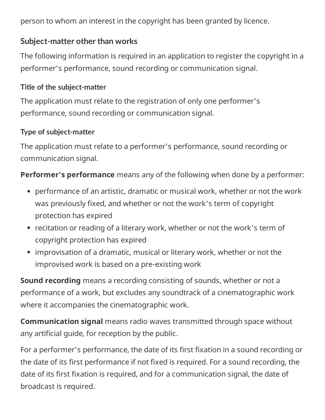person to whom an interest in the copyright has been granted by licence.

#### **Subject-matter other than works**

The following information is required in an application to register the copyright in a performer's performance, sound recording or communication signal.

#### **Title of the subject-matter**

The application must relate to the registration of only one performer's performance, sound recording or communication signal.

#### **Type of subject-matter**

The application must relate to a performer's performance, sound recording or communication signal.

**Performer's performance** means any of the following when done by a performer:

- performance of an artistic, dramatic or musical work, whether or not the work was previously fixed, and whether or not the work's term of copyright protection has expired
- recitation or reading of a literary work, whether or not the work's term of copyright protection has expired
- improvisation of a dramatic, musical or literary work, whether or not the improvised work is based on a pre-existing work

**Sound recording** means a recording consisting of sounds, whether or not a performance of a work, but excludes any soundtrack of a cinematographic work where it accompanies the cinematographic work.

**Communication signal** means radio waves transmitted through space without any artificial guide, for reception by the public.

For a performer's performance, the date of its first fixation in a sound recording or the date of its first performance if not fixed is required. For a sound recording, the date of its first fixation is required, and for a communication signal, the date of broadcast is required.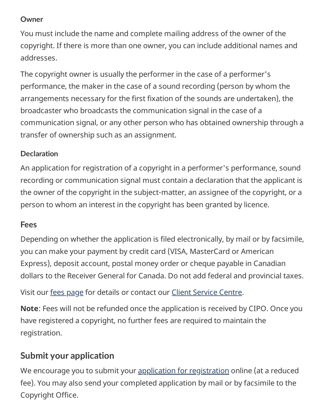#### **Owner**

You must include the name and complete mailing address of the owner of the copyright. If there is more than one owner, you can include additional names and addresses.

The copyright owner is usually the performer in the case of a performer's performance, the maker in the case of a sound recording (person by whom the arrangements necessary for the first fixation of the sounds are undertaken), the broadcaster who broadcasts the communication signal in the case of a communication signal, or any other person who has obtained ownership through a transfer of ownership such as an assignment.

#### **Declaration**

An application for registration of a copyright in a performer's performance, sound recording or communication signal must contain a declaration that the applicant is the owner of the copyright in the subject-matter, an assignee of the copyright, or a person to whom an interest in the copyright has been granted by licence.

#### **Fees**

Depending on whether the application is filed electronically, by mail or by facsimile, you can make your payment by credit card (VISA, MasterCard or American Express), deposit account, postal money order or cheque payable in Canadian dollars to the Receiver General for Canada. Do not add federal and provincial taxes.

Visit our fees [page](https://www.ic.gc.ca/eic/site/cipointernet-internetopic.nsf/eng/wr00091.html) for details or contact our Client [Service](https://www.ic.gc.ca/eic/site/cipointernet-internetopic.nsf/eng/wr00006.html) Centre.

**Note**: Fees will not be refunded once the application is received by CIPO. Once you have registered a copyright, no further fees are required to maintain the registration.

# <span id="page-11-0"></span>**Submit your application**

We encourage you to submit your application for [registration](https://www.ic.gc.ca/eic/site/cipointernet-internetopic.nsf/eng/h_wr00021.html) online (at a reduced fee). You may also send your completed application by mail or by facsimile to the Copyright Office.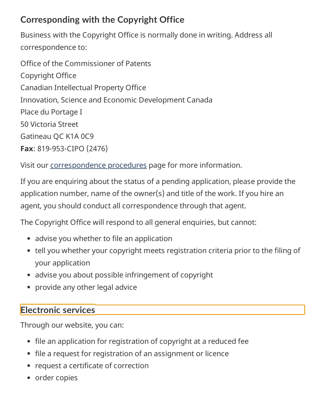# <span id="page-12-0"></span>**Corresponding with the Copyright Office**

Business with the Copyright Office is normally done in writing. Address all correspondence to:

Office of the Commissioner of Patents Copyright Office Canadian Intellectual Property Office Innovation, Science and Economic Development Canada Place du Portage I 50 Victoria Street Gatineau QC K1A 0C9 **Fax**: 819-953-CIPO (2476)

Visit our [correspondence](https://www.ic.gc.ca/eic/site/cipointernet-internetopic.nsf/eng/wr00633.html) procedures page for more information.

If you are enquiring about the status of a pending application, please provide the application number, name of the owner(s) and title of the work. If you hire an agent, you should conduct all correspondence through that agent.

The Copyright Office will respond to all general enquiries, but cannot:

- advise you whether to file an application
- tell you whether your copyright meets registration criteria prior to the filing of your application
- advise you about possible infringement of copyright
- provide any other legal advice

## <span id="page-12-1"></span>**Electronic services**

Through our website, you can:

- file an application for registration of copyright at a reduced fee
- file a request for registration of an assignment or licence
- request a certificate of correction
- order copies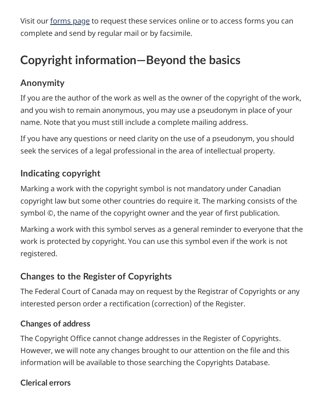Visit our [forms](https://www.ic.gc.ca/eic/site/cipointernet-internetopic.nsf/eng/h_wr00021.html) page to request these services online or to access forms you can complete and send by regular mail or by facsimile.

# <span id="page-13-0"></span>**Copyright information—Beyond the basics**

# **Anonymity**

If you are the author of the work as well as the owner of the copyright of the work, and you wish to remain anonymous, you may use a pseudonym in place of your name. Note that you must still include a complete mailing address.

If you have any questions or need clarity on the use of a pseudonym, you should seek the services of a legal professional in the area of intellectual property.

# <span id="page-13-1"></span>**Indicating copyright**

Marking a work with the copyright symbol is not mandatory under Canadian copyright law but some other countries do require it. The marking consists of the symbol ©, the name of the copyright owner and the year of first publication.

Marking a work with this symbol serves as a general reminder to everyone that the work is protected by copyright. You can use this symbol even if the work is not registered.

# <span id="page-13-2"></span>**Changes to the Register of Copyrights**

The Federal Court of Canada may on request by the Registrar of Copyrights or any interested person order a rectification (correction) of the Register.

## **Changes of address**

The Copyright Office cannot change addresses in the Register of Copyrights. However, we will note any changes brought to our attention on the file and this information will be available to those searching the Copyrights Database.

## **Clerical errors**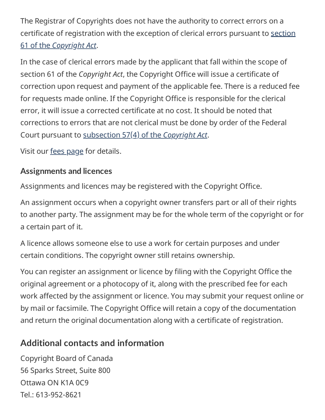The Registrar of Copyrights does not have the authority to correct errors on a certificate of [registration](http://laws-lois.justice.gc.ca/eng/acts/C-42/page-27.html#docCont) with the exception of clerical errors pursuant to section 61 of the *Copyright Act*.

In the case of clerical errors made by the applicant that fall within the scope of section 61 of the *Copyright Act*, the Copyright Office will issue a certificate of correction upon request and payment of the applicable fee. There is a reduced fee for requests made online. If the Copyright Office is responsible for the clerical error, it will issue a corrected certificate at no cost. It should be noted that corrections to errors that are not clerical must be done by order of the Federal Court pursuant to [subsection](http://laws-lois.justice.gc.ca/eng/acts/c-42/page-26.html#s-57ss-%284%29ID0EFBA) 57(4) of the *Copyright Act*.

Visit our fees [page](https://www.ic.gc.ca/eic/site/cipointernet-internetopic.nsf/eng/wr00091.html) for details.

### <span id="page-14-0"></span>**Assignments and licences**

Assignments and licences may be registered with the Copyright Office.

An assignment occurs when a copyright owner transfers part or all of their rights to another party. The assignment may be for the whole term of the copyright or for a certain part of it.

A licence allows someone else to use a work for certain purposes and under certain conditions. The copyright owner still retains ownership.

You can register an assignment or licence by filing with the Copyright Office the original agreement or a photocopy of it, along with the prescribed fee for each work affected by the assignment or licence. You may submit your request online or by mail or facsimile. The Copyright Office will retain a copy of the documentation and return the original documentation along with a certificate of registration.

# <span id="page-14-1"></span>**Additional contacts and information**

Copyright Board of Canada 56 Sparks Street, Suite 800 Ottawa ON K1A 0C9  $Tel: 613-952-8621$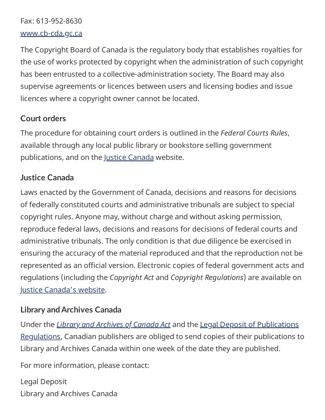Fax: 613-952-8630 [www.cb-cda.gc.ca](http://www.cb-cda.gc.ca/home-accueil-e.html)

The Copyright Board of Canada is the regulatory body that establishes royalties for the use of works protected by copyright when the administration of such copyright has been entrusted to a collective-administration society. The Board may also supervise agreements or licences between users and licensing bodies and issue licences where a copyright owner cannot be located.

#### **Court orders**

The procedure for obtaining court orders is outlined in the *Federal Courts Rules*, available through any local public library or bookstore selling government publications, and on the Justice [Canada](http://www.justice.gc.ca/eng/index.html) website.

#### **Justice Canada**

Laws enacted by the Government of Canada, decisions and reasons for decisions of federally constituted courts and administrative tribunals are subject to special copyright rules. Anyone may, without charge and without asking permission, reproduce federal laws, decisions and reasons for decisions of federal courts and administrative tribunals. The only condition is that due diligence be exercised in ensuring the accuracy of the material reproduced and that the reproduction not be represented as an official version. Electronic copies of federal government acts and regulations (including the *Copyright Act* and *Copyright Regulations*) are available on Justice Canada's [website.](http://www.justice.gc.ca/eng/index.html)

#### **Library andArchives Canada**

Under the *Library and [Archives](http://laws-lois.justice.gc.ca/eng/acts/L-7.7/index.html) of Canada Act* and the Legal Deposit of Publications [Regulations, Canadian](http://laws-lois.justice.gc.ca/eng/regulations/SOR-2006-337/index.html) publishers are obliged to send copies of their publications to Library and Archives Canada within one week of the date they are published.

For more information, please contact:

Legal Deposit Library and Archives Canada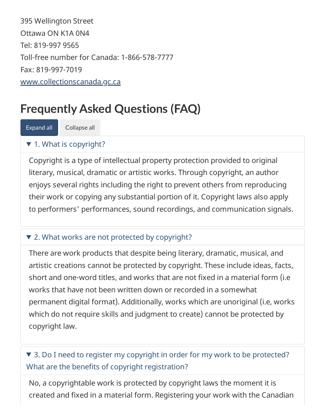395 Wellington Street Ottawa ON K1A 0N4 Tel: 819-997 9565 Toll-free number for Canada: 1-866-578-7777 Fax: 819-997-7019 [www.collectionscanada.gc.ca](http://www.bac-lac.gc.ca/eng/Pages/home.aspx)

# <span id="page-16-0"></span>**Frequently Asked Questions (FAQ)**

Expand all Collapse all

#### $\blacktriangledown$  1. What is copyright?

Copyright is a type of intellectual property protection provided to original literary, musical, dramatic or artistic works. Through copyright, an author enjoys several rights including the right to prevent others from reproducing their work or copying any substantial portion of it. Copyright laws also apply to performers' performances, sound recordings, and communication signals.

#### ▼ 2. What works are not protected by copyright?

There are work products that despite being literary, dramatic, musical, and artistic creations cannot be protected by copyright. These include ideas, facts, short and one-word titles, and works that are not fixed in a material form (i.e works that have not been written down or recorded in a somewhat permanent digital format). Additionally, works which are unoriginal (i.e, works which do not require skills and judgment to create) cannot be protected by copyright law.

## ▼ 3. Do I need to register my copyright in order for my work to be protected? What are the benefits of copyright registration?

No, a copyrightable work is protected by copyright laws the moment it is created and fixed in a material form. Registering your work with the Canadian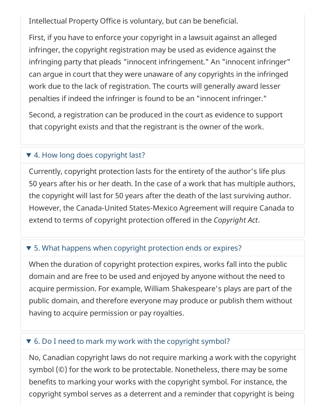Intellectual Property Office is voluntary, but can be beneficial.

First, if you have to enforce your copyright in a lawsuit against an alleged infringer, the copyright registration may be used as evidence against the infringing party that pleads "innocent infringement." An "innocent infringer" can argue in court that they were unaware of any copyrights in the infringed work due to the lack of registration. The courts will generally award lesser penalties if indeed the infringer is found to be an "innocent infringer."

Second, a registration can be produced in the court as evidence to support that copyright exists and that the registrant is the owner of the work.

#### ▼ 4. How long does copyright last?

Currently, copyright protection lasts for the entirety of the author's life plus 50 years after his or her death. In the case of a work that has multiple authors, the copyright will last for 50 years after the death of the last surviving author. However, the Canada-United States-Mexico Agreement will require Canada to extend to terms of copyright protection offered in the *Copyright Act*.

#### ▼ 5. What happens when copyright protection ends or expires?

When the duration of copyright protection expires, works fall into the public domain and are free to be used and enjoyed by anyone without the need to acquire permission. For example, William Shakespeare's plays are part of the public domain, and therefore everyone may produce or publish them without having to acquire permission or pay royalties.

#### ▼ 6. Do I need to mark my work with the copyright symbol?

No, Canadian copyright laws do not require marking a work with the copyright symbol (©) for the work to be protectable. Nonetheless, there may be some benefits to marking your works with the copyright symbol. For instance, the copyright symbol serves as a deterrent and a reminder that copyright is being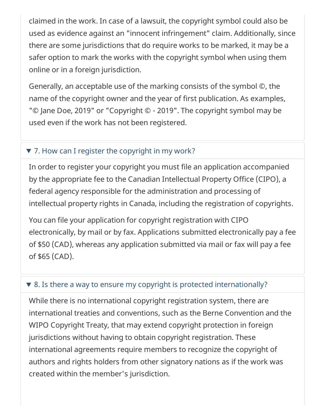claimed in the work. In case of a lawsuit, the copyright symbol could also be used as evidence against an "innocent infringement" claim. Additionally, since there are some jurisdictions that do require works to be marked, it may be a safer option to mark the works with the copyright symbol when using them online or in a foreign jurisdiction.

Generally, an acceptable use of the marking consists of the symbol ©, the name of the copyright owner and the year of first publication. As examples, "© Jane Doe, 2019" or "Copyright © - 2019". The copyright symbol may be used even if the work has not been registered.

#### ▼ 7. How can I register the copyright in my work?

In order to register your copyright you must file an application accompanied by the appropriate fee to the Canadian Intellectual Property Office (CIPO), a federal agency responsible for the administration and processing of intellectual property rights in Canada, including the registration of copyrights.

You can file your application for copyright registration with CIPO electronically, by mail or by fax. Applications submitted electronically pay a fee of \$50 (CAD), whereas any application submitted via mail or fax will pay a fee of \$65 (CAD).

#### ▼ 8. Is there a way to ensure my copyright is protected internationally?

While there is no international copyright registration system, there are international treaties and conventions, such as the Berne Convention and the WIPO Copyright Treaty, that may extend copyright protection in foreign jurisdictions without having to obtain copyright registration. These international agreements require members to recognize the copyright of authors and rights holders from other signatory nations as if the work was created within the member's jurisdiction.